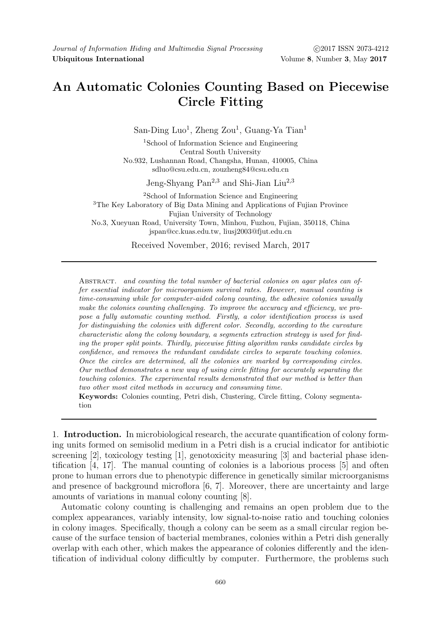## An Automatic Colonies Counting Based on Piecewise Circle Fitting

San-Ding Luo<sup>1</sup>, Zheng Zou<sup>1</sup>, Guang-Ya Tian<sup>1</sup>

<sup>1</sup>School of Information Science and Engineering Central South University No.932, Lushannan Road, Changsha, Hunan, 410005, China sdluo@csu.edu.cn, zouzheng84@csu.edu.cn

Jeng-Shyang Pan<sup>2,3</sup> and Shi-Jian Liu<sup>2,3</sup>

<sup>2</sup>School of Information Science and Engineering <sup>3</sup>The Key Laboratory of Big Data Mining and Applications of Fujian Province Fujian University of Technology No.3, Xueyuan Road, University Town, Minhou, Fuzhou, Fujian, 350118, China jspan@cc.kuas.edu.tw, liusj2003@fjut.edu.cn

Received November, 2016; revised March, 2017

ABSTRACT. and counting the total number of bacterial colonies on agar plates can offer essential indicator for microorganism survival rates. However, manual counting is time-consuming while for computer-aided colony counting, the adhesive colonies usually make the colonies counting challenging. To improve the accuracy and efficiency, we propose a fully automatic counting method. Firstly, a color identification process is used for distinguishing the colonies with different color. Secondly, according to the curvature characteristic along the colony boundary, a segments extraction strategy is used for finding the proper split points. Thirdly, piecewise fitting algorithm ranks candidate circles by confidence, and removes the redundant candidate circles to separate touching colonies. Once the circles are determined, all the colonies are marked by corresponding circles. Our method demonstrates a new way of using circle fitting for accurately separating the touching colonies. The experimental results demonstrated that our method is better than two other most cited methods in accuracy and consuming time.

Keywords: Colonies counting, Petri dish, Clustering, Circle fitting, Colony segmentation

1. Introduction. In microbiological research, the accurate quantification of colony forming units formed on semisolid medium in a Petri dish is a crucial indicator for antibiotic screening [2], toxicology testing [1], genotoxicity measuring [3] and bacterial phase identification [4, 17]. The manual counting of colonies is a laborious process [5] and often prone to human errors due to phenotypic difference in genetically similar microorganisms and presence of background microflora [6, 7]. Moreover, there are uncertainty and large amounts of variations in manual colony counting [8].

Automatic colony counting is challenging and remains an open problem due to the complex appearances, variably intensity, low signal-to-noise ratio and touching colonies in colony images. Specifically, though a colony can be seem as a small circular region because of the surface tension of bacterial membranes, colonies within a Petri dish generally overlap with each other, which makes the appearance of colonies differently and the identification of individual colony difficultly by computer. Furthermore, the problems such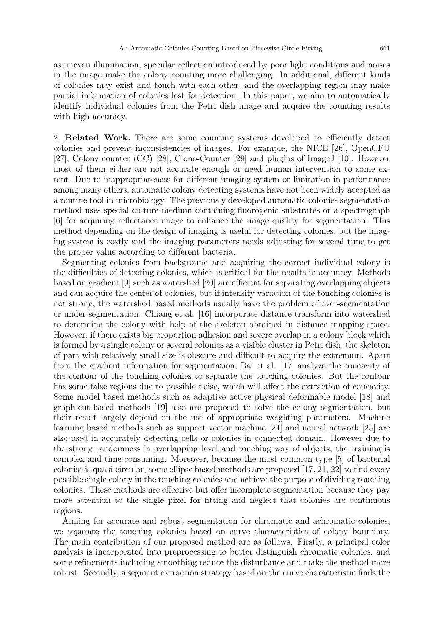as uneven illumination, specular reflection introduced by poor light conditions and noises in the image make the colony counting more challenging. In additional, different kinds of colonies may exist and touch with each other, and the overlapping region may make partial information of colonies lost for detection. In this paper, we aim to automatically identify individual colonies from the Petri dish image and acquire the counting results with high accuracy.

2. Related Work. There are some counting systems developed to efficiently detect colonies and prevent inconsistencies of images. For example, the NICE [26], OpenCFU [27], Colony counter (CC) [28], Clono-Counter [29] and plugins of ImageJ [10]. However most of them either are not accurate enough or need human intervention to some extent. Due to inappropriateness for different imaging system or limitation in performance among many others, automatic colony detecting systems have not been widely accepted as a routine tool in microbiology. The previously developed automatic colonies segmentation method uses special culture medium containing fluorogenic substrates or a spectrograph [6] for acquiring reflectance image to enhance the image quality for segmentation. This method depending on the design of imaging is useful for detecting colonies, but the imaging system is costly and the imaging parameters needs adjusting for several time to get the proper value according to different bacteria.

Segmenting colonies from background and acquiring the correct individual colony is the difficulties of detecting colonies, which is critical for the results in accuracy. Methods based on gradient [9] such as watershed [20] are efficient for separating overlapping objects and can acquire the center of colonies, but if intensity variation of the touching colonies is not strong, the watershed based methods usually have the problem of over-segmentation or under-segmentation. Chiang et al. [16] incorporate distance transform into watershed to determine the colony with help of the skeleton obtained in distance mapping space. However, if there exists big proportion adhesion and severe overlap in a colony block which is formed by a single colony or several colonies as a visible cluster in Petri dish, the skeleton of part with relatively small size is obscure and difficult to acquire the extremum. Apart from the gradient information for segmentation, Bai et al. [17] analyze the concavity of the contour of the touching colonies to separate the touching colonies. But the contour has some false regions due to possible noise, which will affect the extraction of concavity. Some model based methods such as adaptive active physical deformable model [18] and graph-cut-based methods [19] also are proposed to solve the colony segmentation, but their result largely depend on the use of appropriate weighting parameters. Machine learning based methods such as support vector machine [24] and neural network [25] are also used in accurately detecting cells or colonies in connected domain. However due to the strong randomness in overlapping level and touching way of objects, the training is complex and time-consuming. Moreover, because the most common type [5] of bacterial colonise is quasi-circular, some ellipse based methods are proposed [17, 21, 22] to find every possible single colony in the touching colonies and achieve the purpose of dividing touching colonies. These methods are effective but offer incomplete segmentation because they pay more attention to the single pixel for fitting and neglect that colonies are continuous regions.

Aiming for accurate and robust segmentation for chromatic and achromatic colonies, we separate the touching colonies based on curve characteristics of colony boundary. The main contribution of our proposed method are as follows. Firstly, a principal color analysis is incorporated into preprocessing to better distinguish chromatic colonies, and some refinements including smoothing reduce the disturbance and make the method more robust. Secondly, a segment extraction strategy based on the curve characteristic finds the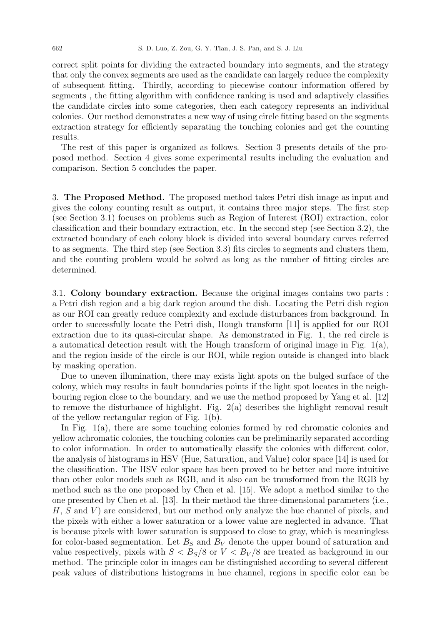correct split points for dividing the extracted boundary into segments, and the strategy that only the convex segments are used as the candidate can largely reduce the complexity of subsequent fitting. Thirdly, according to piecewise contour information offered by segments , the fitting algorithm with confidence ranking is used and adaptively classifies the candidate circles into some categories, then each category represents an individual colonies. Our method demonstrates a new way of using circle fitting based on the segments extraction strategy for efficiently separating the touching colonies and get the counting results.

The rest of this paper is organized as follows. Section 3 presents details of the proposed method. Section 4 gives some experimental results including the evaluation and comparison. Section 5 concludes the paper.

3. The Proposed Method. The proposed method takes Petri dish image as input and gives the colony counting result as output, it contains three major steps. The first step (see Section 3.1) focuses on problems such as Region of Interest (ROI) extraction, color classification and their boundary extraction, etc. In the second step (see Section 3.2), the extracted boundary of each colony block is divided into several boundary curves referred to as segments. The third step (see Section 3.3) fits circles to segments and clusters them, and the counting problem would be solved as long as the number of fitting circles are determined.

3.1. Colony boundary extraction. Because the original images contains two parts : a Petri dish region and a big dark region around the dish. Locating the Petri dish region as our ROI can greatly reduce complexity and exclude disturbances from background. In order to successfully locate the Petri dish, Hough transform [11] is applied for our ROI extraction due to its quasi-circular shape. As demonstrated in Fig. 1, the red circle is a automatical detection result with the Hough transform of original image in Fig.  $1(a)$ , and the region inside of the circle is our ROI, while region outside is changed into black by masking operation.

Due to uneven illumination, there may exists light spots on the bulged surface of the colony, which may results in fault boundaries points if the light spot locates in the neighbouring region close to the boundary, and we use the method proposed by Yang et al. [12] to remove the disturbance of highlight. Fig. 2(a) describes the highlight removal result of the yellow rectangular region of Fig. 1(b).

In Fig. 1(a), there are some touching colonies formed by red chromatic colonies and yellow achromatic colonies, the touching colonies can be preliminarily separated according to color information. In order to automatically classify the colonies with different color, the analysis of histograms in HSV (Hue, Saturation, and Value) color space [14] is used for the classification. The HSV color space has been proved to be better and more intuitive than other color models such as RGB, and it also can be transformed from the RGB by method such as the one proposed by Chen et al. [15]. We adopt a method similar to the one presented by Chen et al. [13]. In their method the three-dimensional parameters (i.e.,  $H, S$  and V) are considered, but our method only analyze the hue channel of pixels, and the pixels with either a lower saturation or a lower value are neglected in advance. That is because pixels with lower saturation is supposed to close to gray, which is meaningless for color-based segmentation. Let  $B<sub>S</sub>$  and  $B<sub>V</sub>$  denote the upper bound of saturation and value respectively, pixels with  $S < B_S/8$  or  $V < B_V/8$  are treated as background in our method. The principle color in images can be distinguished according to several different peak values of distributions histograms in hue channel, regions in specific color can be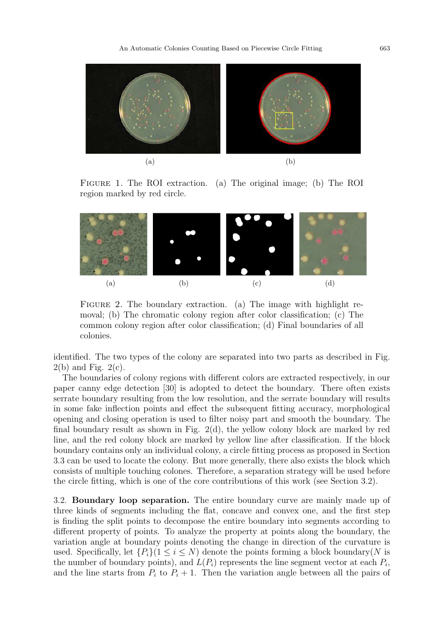An Automatic Colonies Counting Based on Piecewise Circle Fitting 663



Figure 1. The ROI extraction. (a) The original image; (b) The ROI region marked by red circle.



FIGURE 2. The boundary extraction. (a) The image with highlight removal; (b) The chromatic colony region after color classification; (c) The common colony region after color classification; (d) Final boundaries of all colonies.

identified. The two types of the colony are separated into two parts as described in Fig.  $2(b)$  and Fig.  $2(c)$ .

The boundaries of colony regions with different colors are extracted respectively, in our paper canny edge detection [30] is adopted to detect the boundary. There often exists serrate boundary resulting from the low resolution, and the serrate boundary will results in some fake inflection points and effect the subsequent fitting accuracy, morphological opening and closing operation is used to filter noisy part and smooth the boundary. The final boundary result as shown in Fig. 2(d), the yellow colony block are marked by red line, and the red colony block are marked by yellow line after classification. If the block boundary contains only an individual colony, a circle fitting process as proposed in Section 3.3 can be used to locate the colony. But more generally, there also exists the block which consists of multiple touching colones. Therefore, a separation strategy will be used before the circle fitting, which is one of the core contributions of this work (see Section 3.2).

3.2. Boundary loop separation. The entire boundary curve are mainly made up of three kinds of segments including the flat, concave and convex one, and the first step is finding the split points to decompose the entire boundary into segments according to different property of points. To analyze the property at points along the boundary, the variation angle at boundary points denoting the change in direction of the curvature is used. Specifically, let  $\{P_i\}(1 \leq i \leq N)$  denote the points forming a block boundary(N is the number of boundary points), and  $L(P_i)$  represents the line segment vector at each  $P_i$ , and the line starts from  $P_i$  to  $P_i + 1$ . Then the variation angle between all the pairs of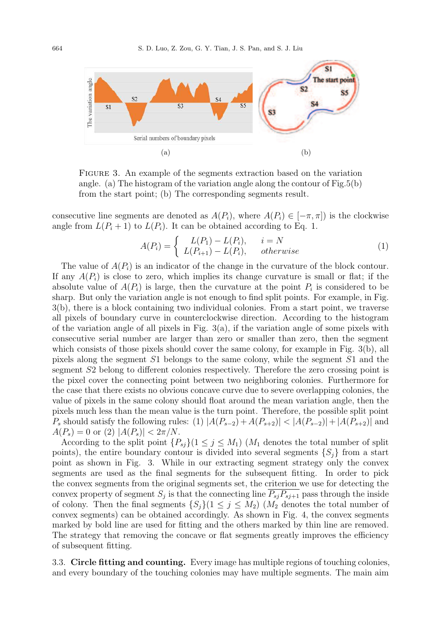

Figure 3. An example of the segments extraction based on the variation angle. (a) The histogram of the variation angle along the contour of Fig.5(b) from the start point; (b) The corresponding segments result.

consecutive line segments are denoted as  $A(P_i)$ , where  $A(P_i) \in [-\pi, \pi]$  is the clockwise angle from  $L(P_i + 1)$  to  $L(P_i)$ . It can be obtained according to Eq. 1.

$$
A(P_i) = \begin{cases} L(P_1) - L(P_i), & i = N \\ L(P_{i+1}) - L(P_i), & otherwise \end{cases}
$$
 (1)

The value of  $A(P_i)$  is an indicator of the change in the curvature of the block contour. If any  $A(P_i)$  is close to zero, which implies its change curvature is small or flat; if the absolute value of  $A(P_i)$  is large, then the curvature at the point  $P_i$  is considered to be sharp. But only the variation angle is not enough to find split points. For example, in Fig. 3(b), there is a block containing two individual colonies. From a start point, we traverse all pixels of boundary curve in counterclockwise direction. According to the histogram of the variation angle of all pixels in Fig.  $3(a)$ , if the variation angle of some pixels with consecutive serial number are larger than zero or smaller than zero, then the segment which consists of those pixels should cover the same colony, for example in Fig. 3(b), all pixels along the segment S1 belongs to the same colony, while the segment S1 and the segment S2 belong to different colonies respectively. Therefore the zero crossing point is the pixel cover the connecting point between two neighboring colonies. Furthermore for the case that there exists no obvious concave curve due to severe overlapping colonies, the value of pixels in the same colony should float around the mean variation angle, then the pixels much less than the mean value is the turn point. Therefore, the possible split point  $P_s$  should satisfy the following rules: (1)  $|A(P_{s-2})+A(P_{s+2})| < |A(P_{s-2})|+|A(P_{s+2})|$  and  $A(P_s) = 0$  or (2)  $|A(P_s)| < 2\pi/N$ .

According to the split point  $\{P_{sj}\}(1 \leq j \leq M_1)$  ( $M_1$  denotes the total number of split points), the entire boundary contour is divided into several segments  $\{S_i\}$  from a start point as shown in Fig. 3. While in our extracting segment strategy only the convex segments are used as the final segments for the subsequent fitting. In order to pick the convex segments from the original segments set, the criterion we use for detecting the convex property of segment  $S_j$  is that the connecting line  $P_{sj}P_{sj+1}$  pass through the inside of colony. Then the final segments  $\{S_i\}(1 \leq j \leq M_2)$  ( $M_2$  denotes the total number of convex segments) can be obtained accordingly. As shown in Fig. 4, the convex segments marked by bold line are used for fitting and the others marked by thin line are removed. The strategy that removing the concave or flat segments greatly improves the efficiency of subsequent fitting.

3.3. Circle fitting and counting. Every image has multiple regions of touching colonies, and every boundary of the touching colonies may have multiple segments. The main aim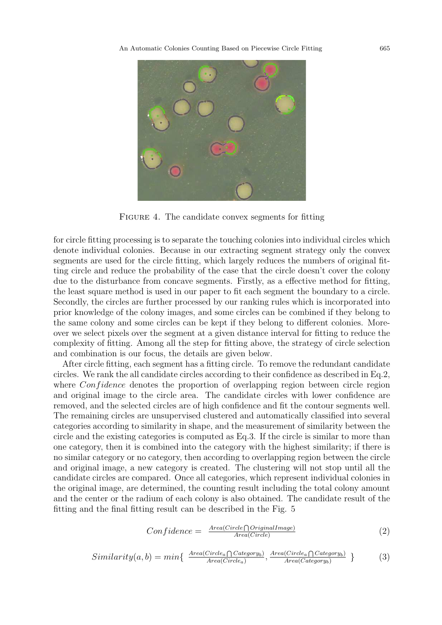

FIGURE 4. The candidate convex segments for fitting

for circle fitting processing is to separate the touching colonies into individual circles which denote individual colonies. Because in our extracting segment strategy only the convex segments are used for the circle fitting, which largely reduces the numbers of original fitting circle and reduce the probability of the case that the circle doesn't cover the colony due to the disturbance from concave segments. Firstly, as a effective method for fitting, the least square method is used in our paper to fit each segment the boundary to a circle. Secondly, the circles are further processed by our ranking rules which is incorporated into prior knowledge of the colony images, and some circles can be combined if they belong to the same colony and some circles can be kept if they belong to different colonies. Moreover we select pixels over the segment at a given distance interval for fitting to reduce the complexity of fitting. Among all the step for fitting above, the strategy of circle selection and combination is our focus, the details are given below.

After circle fitting, each segment has a fitting circle. To remove the redundant candidate circles. We rank the all candidate circles according to their confidence as described in Eq.2, where  $Confidence$  denotes the proportion of overlapping region between circle region and original image to the circle area. The candidate circles with lower confidence are removed, and the selected circles are of high confidence and fit the contour segments well. The remaining circles are unsupervised clustered and automatically classified into several categories according to similarity in shape, and the measurement of similarity between the circle and the existing categories is computed as Eq.3. If the circle is similar to more than one category, then it is combined into the category with the highest similarity; if there is no similar category or no category, then according to overlapping region between the circle and original image, a new category is created. The clustering will not stop until all the candidate circles are compared. Once all categories, which represent individual colonies in the original image, are determined, the counting result including the total colony amount and the center or the radium of each colony is also obtained. The candidate result of the fitting and the final fitting result can be described in the Fig. 5

$$
Confidence = \frac{Area(Circle \cap OriginalImage)}{Area(Circle)} \tag{2}
$$

$$
Similarity(a, b) = min\{\ \frac{Area(Circle_a \cap Categorical_b)}{Area(Circle_a)}, \frac{Area(Circle_a \cap Categorical_b)}{Area(C category_b)}\ \} \tag{3}
$$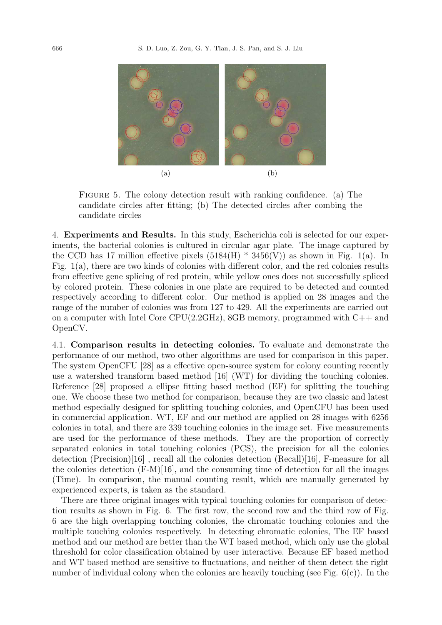

FIGURE 5. The colony detection result with ranking confidence. (a) The candidate circles after fitting; (b) The detected circles after combing the candidate circles

4. Experiments and Results. In this study, Escherichia coli is selected for our experiments, the bacterial colonies is cultured in circular agar plate. The image captured by the CCD has 17 million effective pixels  $(5184(H) * 3456(V))$  as shown in Fig. 1(a). In Fig. 1(a), there are two kinds of colonies with different color, and the red colonies results from effective gene splicing of red protein, while yellow ones does not successfully spliced by colored protein. These colonies in one plate are required to be detected and counted respectively according to different color. Our method is applied on 28 images and the range of the number of colonies was from 127 to 429. All the experiments are carried out on a computer with Intel Core CPU(2.2GHz), 8GB memory, programmed with C++ and OpenCV.

4.1. Comparison results in detecting colonies. To evaluate and demonstrate the performance of our method, two other algorithms are used for comparison in this paper. The system OpenCFU [28] as a effective open-source system for colony counting recently use a watershed transform based method [16] (WT) for dividing the touching colonies. Reference [28] proposed a ellipse fitting based method (EF) for splitting the touching one. We choose these two method for comparison, because they are two classic and latest method especially designed for splitting touching colonies, and OpenCFU has been used in commercial application. WT, EF and our method are applied on 28 images with 6256 colonies in total, and there are 339 touching colonies in the image set. Five measurements are used for the performance of these methods. They are the proportion of correctly separated colonies in total touching colonies (PCS), the precision for all the colonies detection (Precision)[16] , recall all the colonies detection (Recall)[16], F-measure for all the colonies detection (F-M)[16], and the consuming time of detection for all the images (Time). In comparison, the manual counting result, which are manually generated by experienced experts, is taken as the standard.

There are three original images with typical touching colonies for comparison of detection results as shown in Fig. 6. The first row, the second row and the third row of Fig. 6 are the high overlapping touching colonies, the chromatic touching colonies and the multiple touching colonies respectively. In detecting chromatic colonies, The EF based method and our method are better than the WT based method, which only use the global threshold for color classification obtained by user interactive. Because EF based method and WT based method are sensitive to fluctuations, and neither of them detect the right number of individual colony when the colonies are heavily touching (see Fig.  $6(c)$ ). In the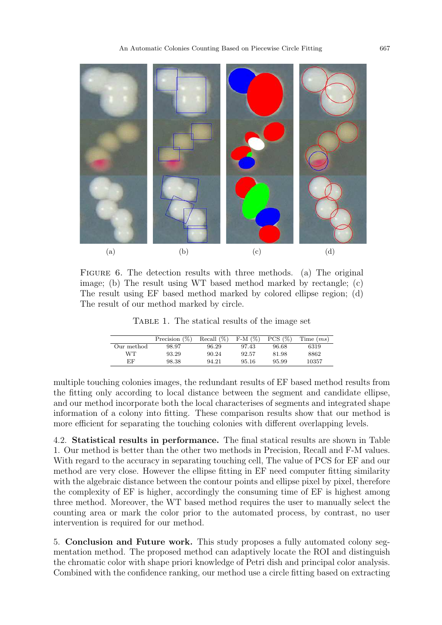

FIGURE 6. The detection results with three methods. (a) The original image; (b) The result using WT based method marked by rectangle; (c) The result using EF based method marked by colored ellipse region; (d) The result of our method marked by circle.

Table 1. The statical results of the image set

|            | Precision $(\%)$ | Recall $(\%)$ | $F-M$ $(\%)$ | $PCS$ $(\% )$ | Time $(ms)$ |
|------------|------------------|---------------|--------------|---------------|-------------|
| Our method | 98.97            | 96.29         | 97.43        | 96.68         | 6319        |
| WТ         | 93.29            | 90.24         | 92.57        | 81.98         | 8862        |
| EF         | 98.38            | 94.21         | 95.16        | 95.99         | 10357       |

multiple touching colonies images, the redundant results of EF based method results from the fitting only according to local distance between the segment and candidate ellipse, and our method incorporate both the local characterises of segments and integrated shape information of a colony into fitting. These comparison results show that our method is more efficient for separating the touching colonies with different overlapping levels.

4.2. Statistical results in performance. The final statical results are shown in Table 1. Our method is better than the other two methods in Precision, Recall and F-M values. With regard to the accuracy in separating touching cell, The value of PCS for EF and our method are very close. However the ellipse fitting in EF need computer fitting similarity with the algebraic distance between the contour points and ellipse pixel by pixel, therefore the complexity of EF is higher, accordingly the consuming time of EF is highest among three method. Moreover, the WT based method requires the user to manually select the counting area or mark the color prior to the automated process, by contrast, no user intervention is required for our method.

5. Conclusion and Future work. This study proposes a fully automated colony segmentation method. The proposed method can adaptively locate the ROI and distinguish the chromatic color with shape priori knowledge of Petri dish and principal color analysis. Combined with the confidence ranking, our method use a circle fitting based on extracting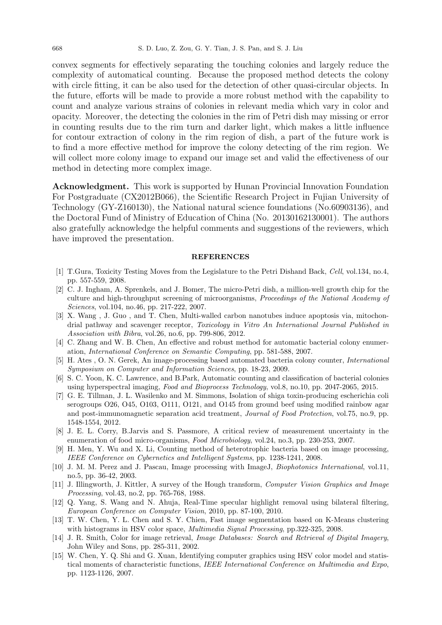convex segments for effectively separating the touching colonies and largely reduce the complexity of automatical counting. Because the proposed method detects the colony with circle fitting, it can be also used for the detection of other quasi-circular objects. In the future, efforts will be made to provide a more robust method with the capability to count and analyze various strains of colonies in relevant media which vary in color and opacity. Moreover, the detecting the colonies in the rim of Petri dish may missing or error in counting results due to the rim turn and darker light, which makes a little influence for contour extraction of colony in the rim region of dish, a part of the future work is to find a more effective method for improve the colony detecting of the rim region. We will collect more colony image to expand our image set and valid the effectiveness of our method in detecting more complex image.

Acknowledgment. This work is supported by Hunan Provincial Innovation Foundation For Postgraduate (CX2012B066), the Scientific Research Project in Fujian University of Technology (GY-Z160130), the National natural science foundations (No.60903136), and the Doctoral Fund of Ministry of Education of China (No. 20130162130001). The authors also gratefully acknowledge the helpful comments and suggestions of the reviewers, which have improved the presentation.

## **REFERENCES**

- [1] T.Gura, Toxicity Testing Moves from the Legislature to the Petri Dishand Back, Cell, vol.134, no.4, pp. 557-559, 2008.
- [2] C. J. Ingham, A. Sprenkels, and J. Bomer, The micro-Petri dish, a million-well growth chip for the culture and high-throughput screening of microorganisms, Proceedings of the National Academy of Sciences, vol.104, no.46, pp. 217-222, 2007.
- [3] X. Wang , J. Guo , and T. Chen, Multi-walled carbon nanotubes induce apoptosis via, mitochondrial pathway and scavenger receptor, Toxicology in Vitro An International Journal Published in Association with Bibra, vol.26, no.6, pp. 799-806, 2012.
- [4] C. Zhang and W. B. Chen, An effective and robust method for automatic bacterial colony enumeration, International Conference on Semantic Computing, pp. 581-588, 2007.
- [5] H. Ates , O. N. Gerek, An image-processing based automated bacteria colony counter, International Symposium on Computer and Information Sciences, pp. 18-23, 2009.
- [6] S. C. Yoon, K. C. Lawrence, and B.Park, Automatic counting and classification of bacterial colonies using hyperspectral imaging, Food and Bioprocess Technology, vol.8, no.10, pp. 2047-2065, 2015.
- [7] G. E. Tillman, J. L. Wasilenko and M. Simmons, Isolation of shiga toxin-producing escherichia coli serogroups O26, O45, O103, O111, O121, and O145 from ground beef using modified rainbow agar and post-immunomagnetic separation acid treatment, Journal of Food Protection, vol.75, no.9, pp. 1548-1554, 2012.
- [8] J. E. L. Corry, B.Jarvis and S. Passmore, A critical review of measurement uncertainty in the enumeration of food micro-organisms, Food Microbiology, vol.24, no.3, pp. 230-253, 2007.
- [9] H. Men, Y. Wu and X. Li, Counting method of heterotrophic bacteria based on image processing, IEEE Conference on Cybernetics and Intelligent Systems, pp. 1238-1241, 2008.
- [10] J. M. M. Perez and J. Pascau, Image processing with ImageJ, *Biophotonics International*, vol.11, no.5, pp. 36-42, 2003.
- [11] J. Illingworth, J. Kittler, A survey of the Hough transform, Computer Vision Graphics and Image Processing, vol.43, no.2, pp. 765-768, 1988.
- [12] Q. Yang, S. Wang and N. Ahuja, Real-Time specular highlight removal using bilateral filtering, European Conference on Computer Vision, 2010, pp. 87-100, 2010.
- [13] T. W. Chen, Y. L. Chen and S. Y. Chien, Fast image segmentation based on K-Means clustering with histograms in HSV color space, Multimedia Signal Processing, pp.322-325, 2008.
- [14] J. R. Smith, Color for image retrieval, *Image Databases: Search and Retrieval of Digital Imagery*, John Wiley and Sons, pp. 285-311, 2002.
- [15] W. Chen, Y. Q. Shi and G. Xuan, Identifying computer graphics using HSV color model and statistical moments of characteristic functions, IEEE International Conference on Multimedia and Expo, pp. 1123-1126, 2007.